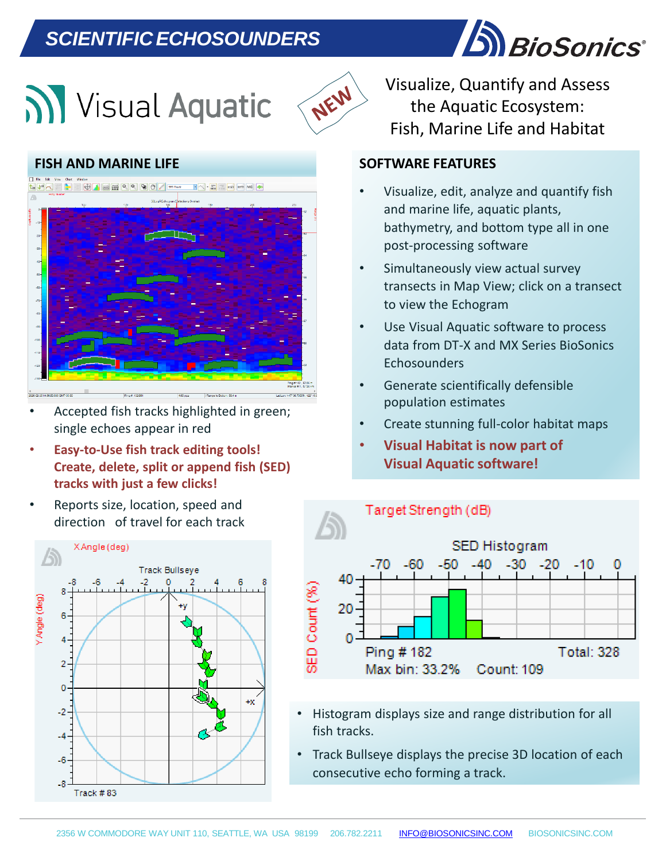## *SCIENTIFICECHOSOUNDERS*





### **FISH AND MARINE LIFE**



- Accepted fish tracks highlighted in green; single echoes appear in red
- **Easy-to-Use fish track editing tools! Create, delete, split or append fish (SED) tracks with just a few clicks!**
- Reports size, location, speed and direction of travel for each track



Visualize, Quantify and Assess the Aquatic Ecosystem: Fish, Marine Life and Habitat

#### **SOFTWARE FEATURES**

- Visualize, edit, analyze and quantify fish and marine life, aquatic plants, bathymetry, and bottom type all in one post-processing software
- Simultaneously view actual survey transects in Map View; click on a transect to view the Echogram
- Use Visual Aquatic software to process data from DT-X and MX Series BioSonics **Echosounders**
- Generate scientifically defensible population estimates
- Create stunning full-color habitat maps
- **Visual Habitat is now part of Visual Aquatic software!**



- Histogram displays size and range distribution for all fish tracks.
- **mean T S, mean range, time, & ping # for each fish track.** • Track Bullseye displays the precise 3D location of each consecutive echo forming a track.